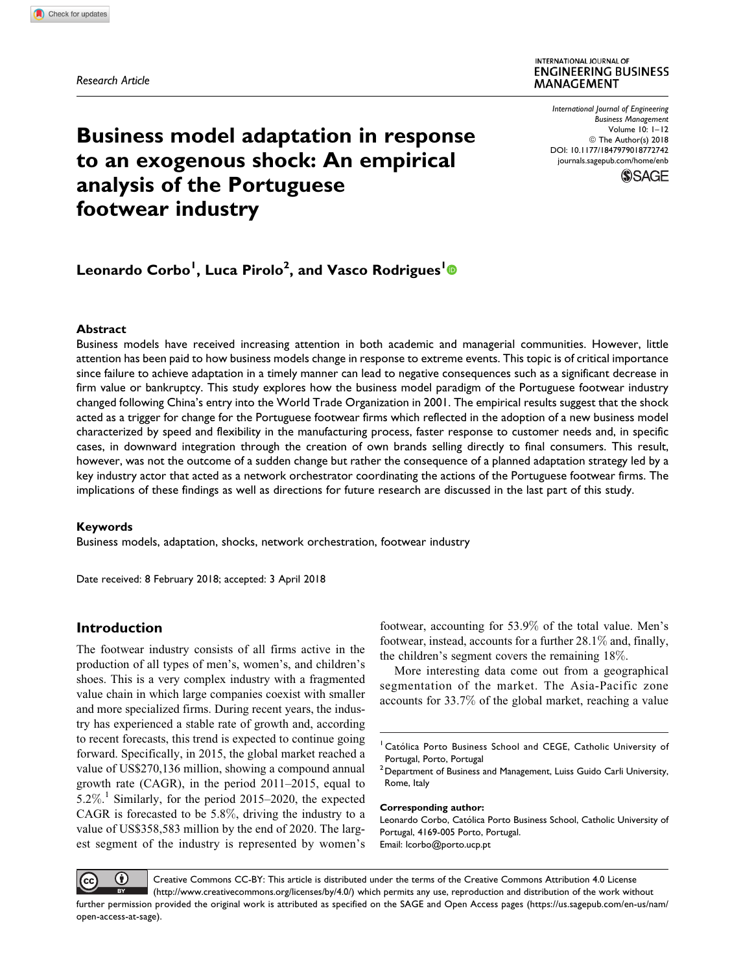Research Article

footwear industry

#### INTERNATIONAL IOURNAL OF **ENGINEERING BUSINESS MANAGEMENT**

Business model adaptation in response to an exogenous shock: An empirical analysis of the Portuguese Business Management

Volume 10: 1–12 © The Author(s) 2018 [DOI: 10.1177/1847979018772742](https://doi.org/10.1177/1847979018772742) [journals.sagepub.com/home/enb](http://journals.sagepub.com/home/enb)

International Journal of Engineering



# Leonardo Corbo<sup>l</sup>, Luca Pirolo<sup>2</sup>, and Vasco Rodrigues<sup>l</sup>

#### **Abstract**

Business models have received increasing attention in both academic and managerial communities. However, little attention has been paid to how business models change in response to extreme events. This topic is of critical importance since failure to achieve adaptation in a timely manner can lead to negative consequences such as a significant decrease in firm value or bankruptcy. This study explores how the business model paradigm of the Portuguese footwear industry changed following China's entry into the World Trade Organization in 2001. The empirical results suggest that the shock acted as a trigger for change for the Portuguese footwear firms which reflected in the adoption of a new business model characterized by speed and flexibility in the manufacturing process, faster response to customer needs and, in specific cases, in downward integration through the creation of own brands selling directly to final consumers. This result, however, was not the outcome of a sudden change but rather the consequence of a planned adaptation strategy led by a key industry actor that acted as a network orchestrator coordinating the actions of the Portuguese footwear firms. The implications of these findings as well as directions for future research are discussed in the last part of this study.

#### Keywords

Business models, adaptation, shocks, network orchestration, footwear industry

Date received: 8 February 2018; accepted: 3 April 2018

### Introduction

The footwear industry consists of all firms active in the production of all types of men's, women's, and children's shoes. This is a very complex industry with a fragmented value chain in which large companies coexist with smaller and more specialized firms. During recent years, the industry has experienced a stable rate of growth and, according to recent forecasts, this trend is expected to continue going forward. Specifically, in 2015, the global market reached a value of US\$270,136 million, showing a compound annual growth rate (CAGR), in the period 2011–2015, equal to 5.2%. <sup>1</sup> Similarly, for the period 2015–2020, the expected CAGR is forecasted to be 5.8%, driving the industry to a value of US\$358,583 million by the end of 2020. The largest segment of the industry is represented by women's

footwear, accounting for 53.9% of the total value. Men's footwear, instead, accounts for a further 28.1% and, finally, the children's segment covers the remaining 18%.

More interesting data come out from a geographical segmentation of the market. The Asia-Pacific zone accounts for 33.7% of the global market, reaching a value

#### Corresponding author:

Leonardo Corbo, Católica Porto Business School, Catholic University of Portugal, 4169-005 Porto, Portugal. Email: [lcorbo@porto.ucp.pt](mailto:lcorbo@porto.ucp.pt)

Œ

Creative Commons CC-BY: This article is distributed under the terms of the Creative Commons Attribution 4.0 License (http://www.creativecommons.org/licenses/by/4.0/) which permits any use, reproduction and distribution of the work without further permission provided the original work is attributed as specified on the SAGE and Open Access pages ([https://us.sagepub.com/en-us/nam/](https://us.sagepub.com/en-us/nam/open-access-at-sage) [open-access-at-sage\)](https://us.sagepub.com/en-us/nam/open-access-at-sage).

<sup>&</sup>lt;sup>1</sup> Católica Porto Business School and CEGE, Catholic University of Portugal, Porto, Portugal

 $2$  Department of Business and Management, Luiss Guido Carli University, Rome, Italy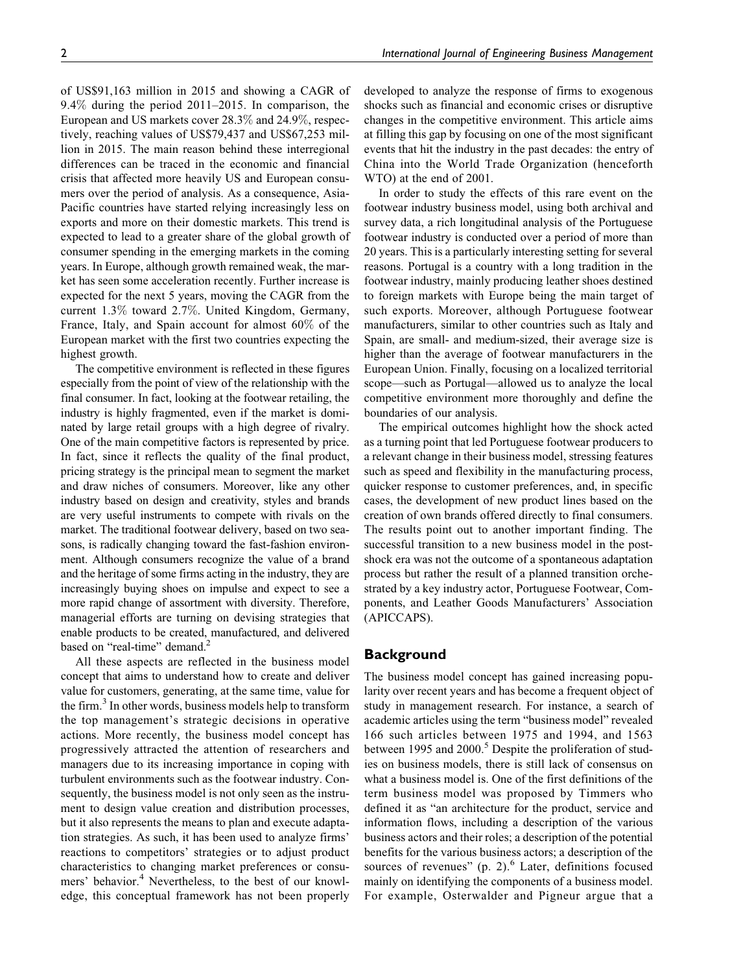of US\$91,163 million in 2015 and showing a CAGR of 9.4% during the period 2011–2015. In comparison, the European and US markets cover 28.3% and 24.9%, respectively, reaching values of US\$79,437 and US\$67,253 million in 2015. The main reason behind these interregional differences can be traced in the economic and financial crisis that affected more heavily US and European consumers over the period of analysis. As a consequence, Asia-Pacific countries have started relying increasingly less on exports and more on their domestic markets. This trend is expected to lead to a greater share of the global growth of consumer spending in the emerging markets in the coming years. In Europe, although growth remained weak, the market has seen some acceleration recently. Further increase is expected for the next 5 years, moving the CAGR from the current 1.3% toward 2.7%. United Kingdom, Germany, France, Italy, and Spain account for almost 60% of the European market with the first two countries expecting the highest growth.

The competitive environment is reflected in these figures especially from the point of view of the relationship with the final consumer. In fact, looking at the footwear retailing, the industry is highly fragmented, even if the market is dominated by large retail groups with a high degree of rivalry. One of the main competitive factors is represented by price. In fact, since it reflects the quality of the final product, pricing strategy is the principal mean to segment the market and draw niches of consumers. Moreover, like any other industry based on design and creativity, styles and brands are very useful instruments to compete with rivals on the market. The traditional footwear delivery, based on two seasons, is radically changing toward the fast-fashion environment. Although consumers recognize the value of a brand and the heritage of some firms acting in the industry, they are increasingly buying shoes on impulse and expect to see a more rapid change of assortment with diversity. Therefore, managerial efforts are turning on devising strategies that enable products to be created, manufactured, and delivered based on "real-time" demand.<sup>2</sup>

All these aspects are reflected in the business model concept that aims to understand how to create and deliver value for customers, generating, at the same time, value for the firm.<sup>3</sup> In other words, business models help to transform the top management's strategic decisions in operative actions. More recently, the business model concept has progressively attracted the attention of researchers and managers due to its increasing importance in coping with turbulent environments such as the footwear industry. Consequently, the business model is not only seen as the instrument to design value creation and distribution processes, but it also represents the means to plan and execute adaptation strategies. As such, it has been used to analyze firms' reactions to competitors' strategies or to adjust product characteristics to changing market preferences or consumers' behavior.<sup>4</sup> Nevertheless, to the best of our knowledge, this conceptual framework has not been properly developed to analyze the response of firms to exogenous shocks such as financial and economic crises or disruptive changes in the competitive environment. This article aims at filling this gap by focusing on one of the most significant events that hit the industry in the past decades: the entry of China into the World Trade Organization (henceforth WTO) at the end of 2001.

In order to study the effects of this rare event on the footwear industry business model, using both archival and survey data, a rich longitudinal analysis of the Portuguese footwear industry is conducted over a period of more than 20 years. This is a particularly interesting setting for several reasons. Portugal is a country with a long tradition in the footwear industry, mainly producing leather shoes destined to foreign markets with Europe being the main target of such exports. Moreover, although Portuguese footwear manufacturers, similar to other countries such as Italy and Spain, are small- and medium-sized, their average size is higher than the average of footwear manufacturers in the European Union. Finally, focusing on a localized territorial scope—such as Portugal—allowed us to analyze the local competitive environment more thoroughly and define the boundaries of our analysis.

The empirical outcomes highlight how the shock acted as a turning point that led Portuguese footwear producers to a relevant change in their business model, stressing features such as speed and flexibility in the manufacturing process, quicker response to customer preferences, and, in specific cases, the development of new product lines based on the creation of own brands offered directly to final consumers. The results point out to another important finding. The successful transition to a new business model in the postshock era was not the outcome of a spontaneous adaptation process but rather the result of a planned transition orchestrated by a key industry actor, Portuguese Footwear, Components, and Leather Goods Manufacturers' Association (APICCAPS).

### **Background**

The business model concept has gained increasing popularity over recent years and has become a frequent object of study in management research. For instance, a search of academic articles using the term "business model" revealed 166 such articles between 1975 and 1994, and 1563 between 1995 and 2000.<sup>5</sup> Despite the proliferation of studies on business models, there is still lack of consensus on what a business model is. One of the first definitions of the term business model was proposed by Timmers who defined it as "an architecture for the product, service and information flows, including a description of the various business actors and their roles; a description of the potential benefits for the various business actors; a description of the sources of revenues"  $(p, 2)$ . Later, definitions focused mainly on identifying the components of a business model. For example, Osterwalder and Pigneur argue that a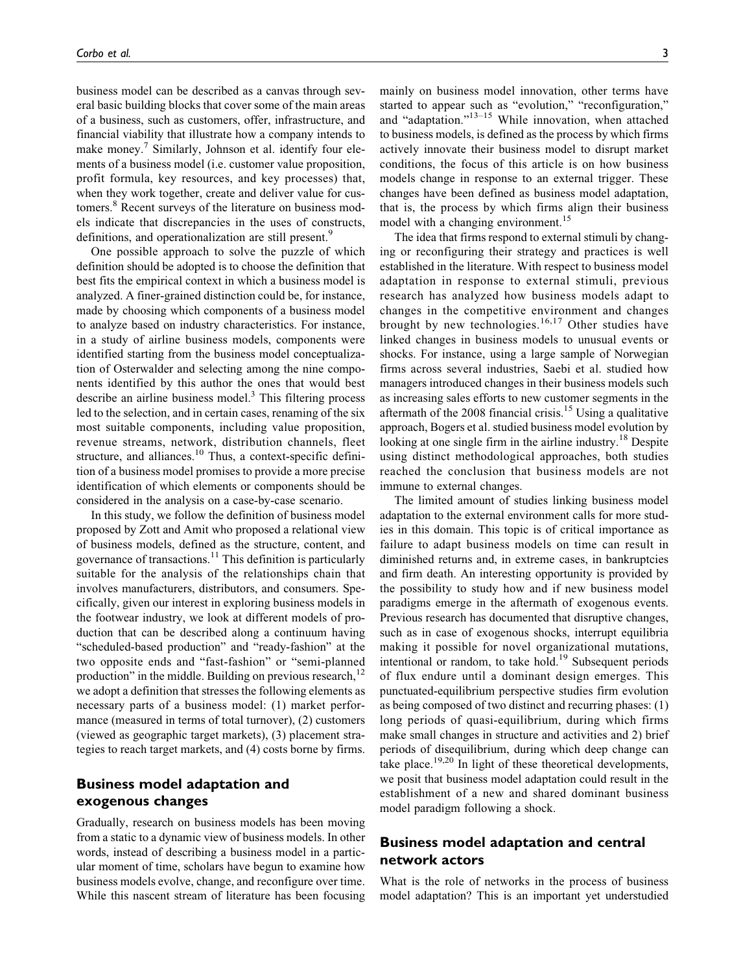business model can be described as a canvas through several basic building blocks that cover some of the main areas of a business, such as customers, offer, infrastructure, and financial viability that illustrate how a company intends to make money.<sup>7</sup> Similarly, Johnson et al. identify four elements of a business model (i.e. customer value proposition, profit formula, key resources, and key processes) that, when they work together, create and deliver value for customers.<sup>8</sup> Recent surveys of the literature on business models indicate that discrepancies in the uses of constructs, definitions, and operationalization are still present.<sup>9</sup>

One possible approach to solve the puzzle of which definition should be adopted is to choose the definition that best fits the empirical context in which a business model is analyzed. A finer-grained distinction could be, for instance, made by choosing which components of a business model to analyze based on industry characteristics. For instance, in a study of airline business models, components were identified starting from the business model conceptualization of Osterwalder and selecting among the nine components identified by this author the ones that would best describe an airline business model. $3$  This filtering process led to the selection, and in certain cases, renaming of the six most suitable components, including value proposition, revenue streams, network, distribution channels, fleet structure, and alliances.<sup>10</sup> Thus, a context-specific definition of a business model promises to provide a more precise identification of which elements or components should be considered in the analysis on a case-by-case scenario.

In this study, we follow the definition of business model proposed by Zott and Amit who proposed a relational view of business models, defined as the structure, content, and governance of transactions.<sup>11</sup> This definition is particularly suitable for the analysis of the relationships chain that involves manufacturers, distributors, and consumers. Specifically, given our interest in exploring business models in the footwear industry, we look at different models of production that can be described along a continuum having "scheduled-based production" and "ready-fashion" at the two opposite ends and "fast-fashion" or "semi-planned production" in the middle. Building on previous research, $12$ we adopt a definition that stresses the following elements as necessary parts of a business model: (1) market performance (measured in terms of total turnover), (2) customers (viewed as geographic target markets), (3) placement strategies to reach target markets, and (4) costs borne by firms.

# Business model adaptation and exogenous changes

Gradually, research on business models has been moving from a static to a dynamic view of business models. In other words, instead of describing a business model in a particular moment of time, scholars have begun to examine how business models evolve, change, and reconfigure over time. While this nascent stream of literature has been focusing

mainly on business model innovation, other terms have started to appear such as "evolution," "reconfiguration," and "adaptation." $13-15$  While innovation, when attached to business models, is defined as the process by which firms actively innovate their business model to disrupt market conditions, the focus of this article is on how business models change in response to an external trigger. These changes have been defined as business model adaptation, that is, the process by which firms align their business model with a changing environment.<sup>15</sup>

The idea that firms respond to external stimuli by changing or reconfiguring their strategy and practices is well established in the literature. With respect to business model adaptation in response to external stimuli, previous research has analyzed how business models adapt to changes in the competitive environment and changes brought by new technologies.<sup>16,17</sup> Other studies have linked changes in business models to unusual events or shocks. For instance, using a large sample of Norwegian firms across several industries, Saebi et al. studied how managers introduced changes in their business models such as increasing sales efforts to new customer segments in the aftermath of the  $2008$  financial crisis.<sup>15</sup> Using a qualitative approach, Bogers et al. studied business model evolution by looking at one single firm in the airline industry.<sup>18</sup> Despite using distinct methodological approaches, both studies reached the conclusion that business models are not immune to external changes.

The limited amount of studies linking business model adaptation to the external environment calls for more studies in this domain. This topic is of critical importance as failure to adapt business models on time can result in diminished returns and, in extreme cases, in bankruptcies and firm death. An interesting opportunity is provided by the possibility to study how and if new business model paradigms emerge in the aftermath of exogenous events. Previous research has documented that disruptive changes, such as in case of exogenous shocks, interrupt equilibria making it possible for novel organizational mutations, intentional or random, to take hold.<sup>19</sup> Subsequent periods of flux endure until a dominant design emerges. This punctuated-equilibrium perspective studies firm evolution as being composed of two distinct and recurring phases: (1) long periods of quasi-equilibrium, during which firms make small changes in structure and activities and 2) brief periods of disequilibrium, during which deep change can take place.<sup>19,20</sup> In light of these theoretical developments, we posit that business model adaptation could result in the establishment of a new and shared dominant business model paradigm following a shock.

# Business model adaptation and central network actors

What is the role of networks in the process of business model adaptation? This is an important yet understudied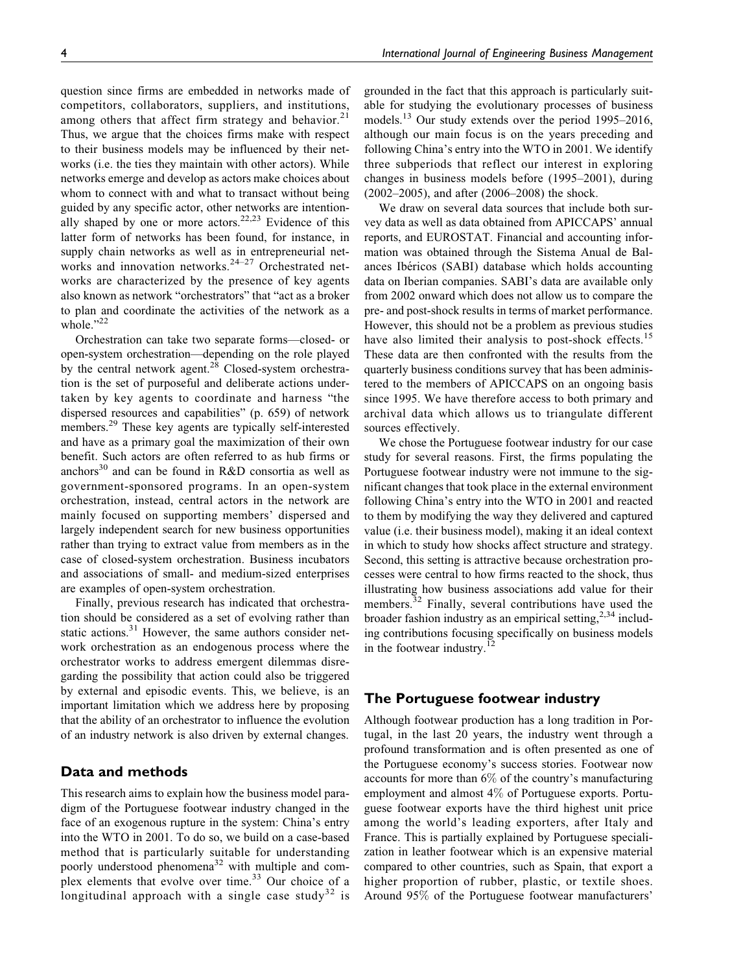question since firms are embedded in networks made of competitors, collaborators, suppliers, and institutions, among others that affect firm strategy and behavior.<sup>21</sup> Thus, we argue that the choices firms make with respect to their business models may be influenced by their networks (i.e. the ties they maintain with other actors). While networks emerge and develop as actors make choices about whom to connect with and what to transact without being guided by any specific actor, other networks are intentionally shaped by one or more actors.<sup>22,23</sup> Evidence of this latter form of networks has been found, for instance, in supply chain networks as well as in entrepreneurial networks and innovation networks. $24-27$  Orchestrated networks are characterized by the presence of key agents also known as network "orchestrators" that "act as a broker to plan and coordinate the activities of the network as a whole. $"^{22}$ 

Orchestration can take two separate forms—closed- or open-system orchestration—depending on the role played by the central network agent.<sup>28</sup> Closed-system orchestration is the set of purposeful and deliberate actions undertaken by key agents to coordinate and harness "the dispersed resources and capabilities" (p. 659) of network members.<sup>29</sup> These key agents are typically self-interested and have as a primary goal the maximization of their own benefit. Such actors are often referred to as hub firms or anchors<sup>30</sup> and can be found in R&D consortia as well as government-sponsored programs. In an open-system orchestration, instead, central actors in the network are mainly focused on supporting members' dispersed and largely independent search for new business opportunities rather than trying to extract value from members as in the case of closed-system orchestration. Business incubators and associations of small- and medium-sized enterprises are examples of open-system orchestration.

Finally, previous research has indicated that orchestration should be considered as a set of evolving rather than static actions. $31$  However, the same authors consider network orchestration as an endogenous process where the orchestrator works to address emergent dilemmas disregarding the possibility that action could also be triggered by external and episodic events. This, we believe, is an important limitation which we address here by proposing that the ability of an orchestrator to influence the evolution of an industry network is also driven by external changes.

# Data and methods

This research aims to explain how the business model paradigm of the Portuguese footwear industry changed in the face of an exogenous rupture in the system: China's entry into the WTO in 2001. To do so, we build on a case-based method that is particularly suitable for understanding poorly understood phenomena<sup>32</sup> with multiple and complex elements that evolve over time.<sup>33</sup> Our choice of a longitudinal approach with a single case study<sup>32</sup> is

4 International Journal of Engineering Business Management

grounded in the fact that this approach is particularly suitable for studying the evolutionary processes of business models.<sup>13</sup> Our study extends over the period 1995–2016, although our main focus is on the years preceding and following China's entry into the WTO in 2001. We identify three subperiods that reflect our interest in exploring changes in business models before (1995–2001), during (2002–2005), and after (2006–2008) the shock.

We draw on several data sources that include both survey data as well as data obtained from APICCAPS' annual reports, and EUROSTAT. Financial and accounting information was obtained through the Sistema Anual de Balances Ibéricos (SABI) database which holds accounting data on Iberian companies. SABI's data are available only from 2002 onward which does not allow us to compare the pre- and post-shock results in terms of market performance. However, this should not be a problem as previous studies have also limited their analysis to post-shock effects.<sup>15</sup> These data are then confronted with the results from the quarterly business conditions survey that has been administered to the members of APICCAPS on an ongoing basis since 1995. We have therefore access to both primary and archival data which allows us to triangulate different sources effectively.

We chose the Portuguese footwear industry for our case study for several reasons. First, the firms populating the Portuguese footwear industry were not immune to the significant changes that took place in the external environment following China's entry into the WTO in 2001 and reacted to them by modifying the way they delivered and captured value (i.e. their business model), making it an ideal context in which to study how shocks affect structure and strategy. Second, this setting is attractive because orchestration processes were central to how firms reacted to the shock, thus illustrating how business associations add value for their members. $32$  Finally, several contributions have used the broader fashion industry as an empirical setting,  $2,34$  including contributions focusing specifically on business models in the footwear industry. $^{1}$ 

### The Portuguese footwear industry

Although footwear production has a long tradition in Portugal, in the last 20 years, the industry went through a profound transformation and is often presented as one of the Portuguese economy's success stories. Footwear now accounts for more than 6% of the country's manufacturing employment and almost 4% of Portuguese exports. Portuguese footwear exports have the third highest unit price among the world's leading exporters, after Italy and France. This is partially explained by Portuguese specialization in leather footwear which is an expensive material compared to other countries, such as Spain, that export a higher proportion of rubber, plastic, or textile shoes. Around 95% of the Portuguese footwear manufacturers'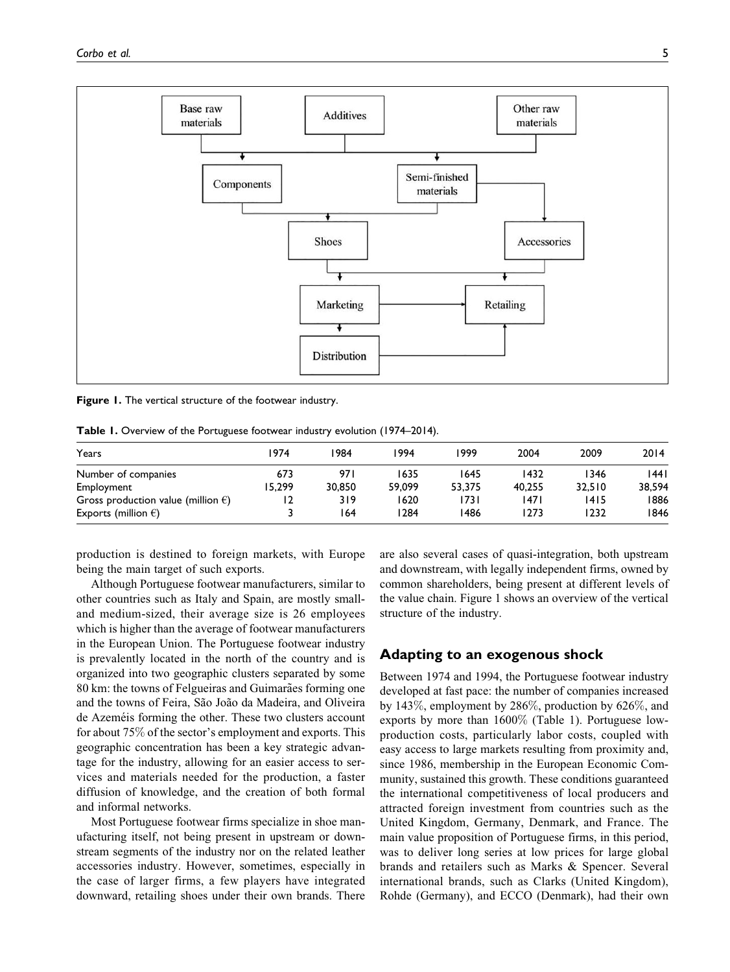

Figure 1. The vertical structure of the footwear industry.

Table 1. Overview of the Portuguese footwear industry evolution (1974–2014).

| Years                                        | 1974   | 1984   | 1994   | 1999   | 2004   | 2009   | 2014   |
|----------------------------------------------|--------|--------|--------|--------|--------|--------|--------|
| Number of companies                          | 673    | 97 I   | 1635   | 1645   | 1432   | 1346   | 1441   |
| Employment                                   | 15.299 | 30.850 | 59.099 | 53.375 | 40.255 | 32.510 | 38.594 |
| Gross production value (million $\epsilon$ ) | 12     | 319    | 1620   | 1731   | 1471   | 1415   | 1886   |
| Exports (million $\epsilon$ )                |        | 164    | 1284   | 1486   | 1273   | 1232   | 1846   |

production is destined to foreign markets, with Europe being the main target of such exports.

Although Portuguese footwear manufacturers, similar to other countries such as Italy and Spain, are mostly smalland medium-sized, their average size is 26 employees which is higher than the average of footwear manufacturers in the European Union. The Portuguese footwear industry is prevalently located in the north of the country and is organized into two geographic clusters separated by some 80 km: the towns of Felgueiras and Guimarães forming one and the towns of Feira, São João da Madeira, and Oliveira de Azeméis forming the other. These two clusters account for about 75% of the sector's employment and exports. This geographic concentration has been a key strategic advantage for the industry, allowing for an easier access to services and materials needed for the production, a faster diffusion of knowledge, and the creation of both formal and informal networks.

Most Portuguese footwear firms specialize in shoe manufacturing itself, not being present in upstream or downstream segments of the industry nor on the related leather accessories industry. However, sometimes, especially in the case of larger firms, a few players have integrated downward, retailing shoes under their own brands. There

are also several cases of quasi-integration, both upstream and downstream, with legally independent firms, owned by common shareholders, being present at different levels of the value chain. Figure 1 shows an overview of the vertical structure of the industry.

# Adapting to an exogenous shock

Between 1974 and 1994, the Portuguese footwear industry developed at fast pace: the number of companies increased by 143%, employment by 286%, production by 626%, and exports by more than 1600% (Table 1). Portuguese lowproduction costs, particularly labor costs, coupled with easy access to large markets resulting from proximity and, since 1986, membership in the European Economic Community, sustained this growth. These conditions guaranteed the international competitiveness of local producers and attracted foreign investment from countries such as the United Kingdom, Germany, Denmark, and France. The main value proposition of Portuguese firms, in this period, was to deliver long series at low prices for large global brands and retailers such as Marks & Spencer. Several international brands, such as Clarks (United Kingdom), Rohde (Germany), and ECCO (Denmark), had their own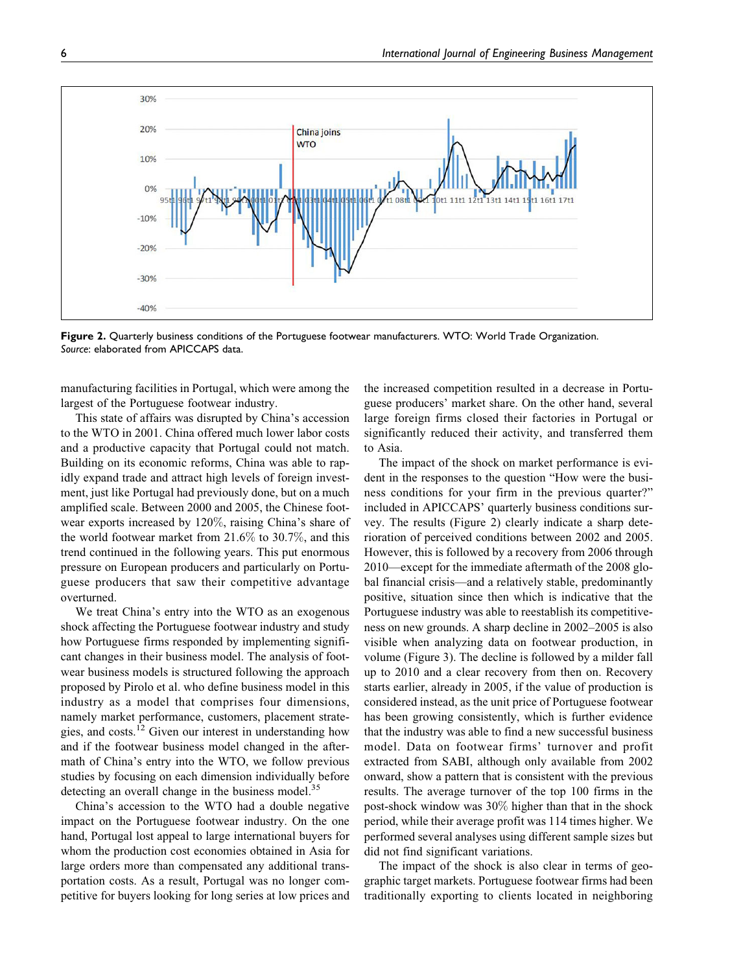

Figure 2. Quarterly business conditions of the Portuguese footwear manufacturers. WTO: World Trade Organization. Source: elaborated from APICCAPS data.

manufacturing facilities in Portugal, which were among the largest of the Portuguese footwear industry.

This state of affairs was disrupted by China's accession to the WTO in 2001. China offered much lower labor costs and a productive capacity that Portugal could not match. Building on its economic reforms, China was able to rapidly expand trade and attract high levels of foreign investment, just like Portugal had previously done, but on a much amplified scale. Between 2000 and 2005, the Chinese footwear exports increased by 120%, raising China's share of the world footwear market from 21.6% to 30.7%, and this trend continued in the following years. This put enormous pressure on European producers and particularly on Portuguese producers that saw their competitive advantage overturned.

We treat China's entry into the WTO as an exogenous shock affecting the Portuguese footwear industry and study how Portuguese firms responded by implementing significant changes in their business model. The analysis of footwear business models is structured following the approach proposed by Pirolo et al. who define business model in this industry as a model that comprises four dimensions, namely market performance, customers, placement strategies, and costs.<sup>12</sup> Given our interest in understanding how and if the footwear business model changed in the aftermath of China's entry into the WTO, we follow previous studies by focusing on each dimension individually before detecting an overall change in the business model. $35$ 

China's accession to the WTO had a double negative impact on the Portuguese footwear industry. On the one hand, Portugal lost appeal to large international buyers for whom the production cost economies obtained in Asia for large orders more than compensated any additional transportation costs. As a result, Portugal was no longer competitive for buyers looking for long series at low prices and the increased competition resulted in a decrease in Portuguese producers' market share. On the other hand, several large foreign firms closed their factories in Portugal or significantly reduced their activity, and transferred them to Asia.

The impact of the shock on market performance is evident in the responses to the question "How were the business conditions for your firm in the previous quarter?" included in APICCAPS' quarterly business conditions survey. The results (Figure 2) clearly indicate a sharp deterioration of perceived conditions between 2002 and 2005. However, this is followed by a recovery from 2006 through 2010—except for the immediate aftermath of the 2008 global financial crisis—and a relatively stable, predominantly positive, situation since then which is indicative that the Portuguese industry was able to reestablish its competitiveness on new grounds. A sharp decline in 2002–2005 is also visible when analyzing data on footwear production, in volume (Figure 3). The decline is followed by a milder fall up to 2010 and a clear recovery from then on. Recovery starts earlier, already in 2005, if the value of production is considered instead, as the unit price of Portuguese footwear has been growing consistently, which is further evidence that the industry was able to find a new successful business model. Data on footwear firms' turnover and profit extracted from SABI, although only available from 2002 onward, show a pattern that is consistent with the previous results. The average turnover of the top 100 firms in the post-shock window was 30% higher than that in the shock period, while their average profit was 114 times higher. We performed several analyses using different sample sizes but did not find significant variations.

The impact of the shock is also clear in terms of geographic target markets. Portuguese footwear firms had been traditionally exporting to clients located in neighboring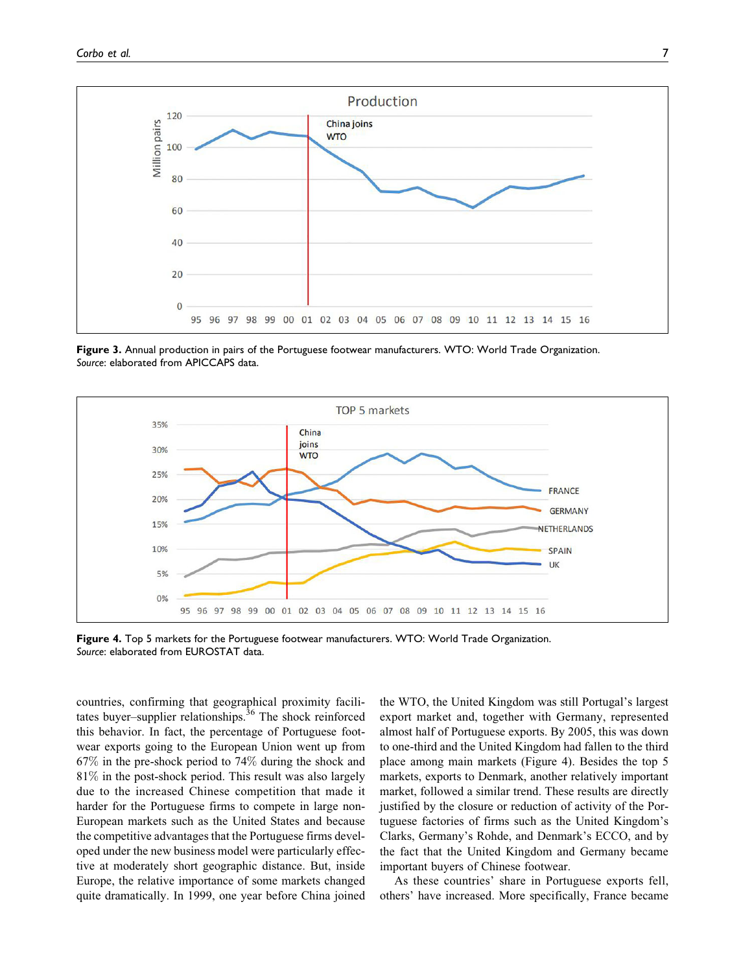

Figure 3. Annual production in pairs of the Portuguese footwear manufacturers. WTO: World Trade Organization. Source: elaborated from APICCAPS data.



Figure 4. Top 5 markets for the Portuguese footwear manufacturers. WTO: World Trade Organization. Source: elaborated from EUROSTAT data.

countries, confirming that geographical proximity facilitates buyer–supplier relationships.<sup>36</sup> The shock reinforced this behavior. In fact, the percentage of Portuguese footwear exports going to the European Union went up from 67% in the pre-shock period to 74% during the shock and 81% in the post-shock period. This result was also largely due to the increased Chinese competition that made it harder for the Portuguese firms to compete in large non-European markets such as the United States and because the competitive advantages that the Portuguese firms developed under the new business model were particularly effective at moderately short geographic distance. But, inside Europe, the relative importance of some markets changed quite dramatically. In 1999, one year before China joined the WTO, the United Kingdom was still Portugal's largest export market and, together with Germany, represented almost half of Portuguese exports. By 2005, this was down to one-third and the United Kingdom had fallen to the third place among main markets (Figure 4). Besides the top 5 markets, exports to Denmark, another relatively important market, followed a similar trend. These results are directly justified by the closure or reduction of activity of the Portuguese factories of firms such as the United Kingdom's Clarks, Germany's Rohde, and Denmark's ECCO, and by the fact that the United Kingdom and Germany became important buyers of Chinese footwear.

As these countries' share in Portuguese exports fell, others' have increased. More specifically, France became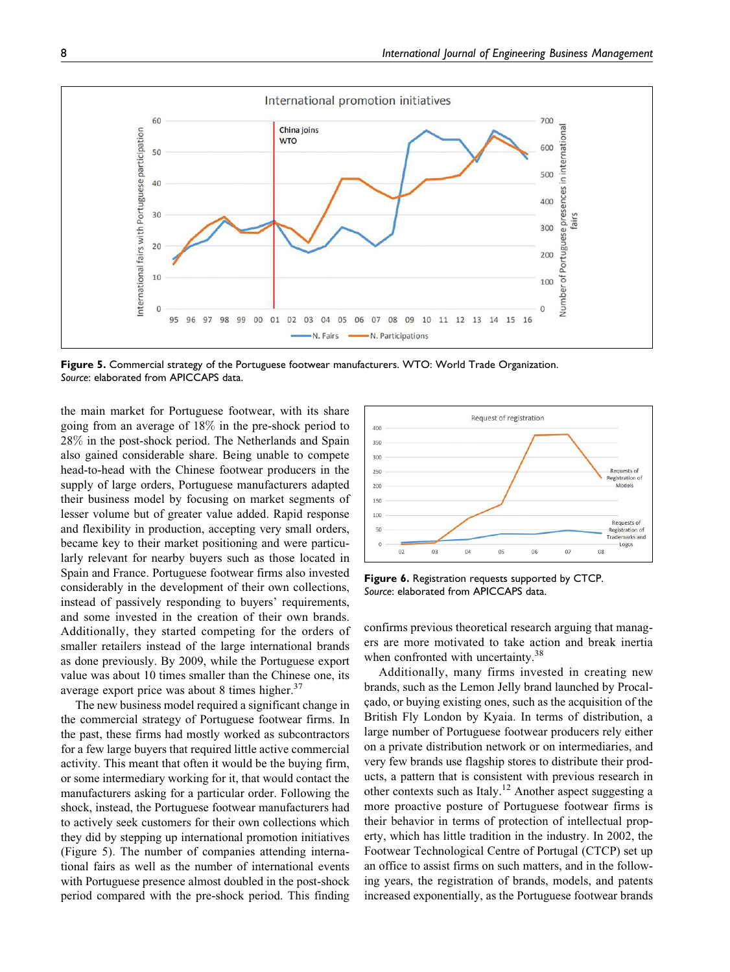

Figure 5. Commercial strategy of the Portuguese footwear manufacturers. WTO: World Trade Organization. Source: elaborated from APICCAPS data.

the main market for Portuguese footwear, with its share going from an average of 18% in the pre-shock period to 28% in the post-shock period. The Netherlands and Spain also gained considerable share. Being unable to compete head-to-head with the Chinese footwear producers in the supply of large orders, Portuguese manufacturers adapted their business model by focusing on market segments of lesser volume but of greater value added. Rapid response and flexibility in production, accepting very small orders, became key to their market positioning and were particularly relevant for nearby buyers such as those located in Spain and France. Portuguese footwear firms also invested considerably in the development of their own collections, instead of passively responding to buyers' requirements, and some invested in the creation of their own brands. Additionally, they started competing for the orders of smaller retailers instead of the large international brands as done previously. By 2009, while the Portuguese export value was about 10 times smaller than the Chinese one, its average export price was about 8 times higher. $37$ 

The new business model required a significant change in the commercial strategy of Portuguese footwear firms. In the past, these firms had mostly worked as subcontractors for a few large buyers that required little active commercial activity. This meant that often it would be the buying firm, or some intermediary working for it, that would contact the manufacturers asking for a particular order. Following the shock, instead, the Portuguese footwear manufacturers had to actively seek customers for their own collections which they did by stepping up international promotion initiatives (Figure 5). The number of companies attending international fairs as well as the number of international events with Portuguese presence almost doubled in the post-shock period compared with the pre-shock period. This finding



Figure 6. Registration requests supported by CTCP. Source: elaborated from APICCAPS data.

confirms previous theoretical research arguing that managers are more motivated to take action and break inertia when confronted with uncertainty.<sup>38</sup>

Additionally, many firms invested in creating new brands, such as the Lemon Jelly brand launched by Procalcado, or buying existing ones, such as the acquisition of the British Fly London by Kyaia. In terms of distribution, a large number of Portuguese footwear producers rely either on a private distribution network or on intermediaries, and very few brands use flagship stores to distribute their products, a pattern that is consistent with previous research in other contexts such as Italy.12 Another aspect suggesting a more proactive posture of Portuguese footwear firms is their behavior in terms of protection of intellectual property, which has little tradition in the industry. In 2002, the Footwear Technological Centre of Portugal (CTCP) set up an office to assist firms on such matters, and in the following years, the registration of brands, models, and patents increased exponentially, as the Portuguese footwear brands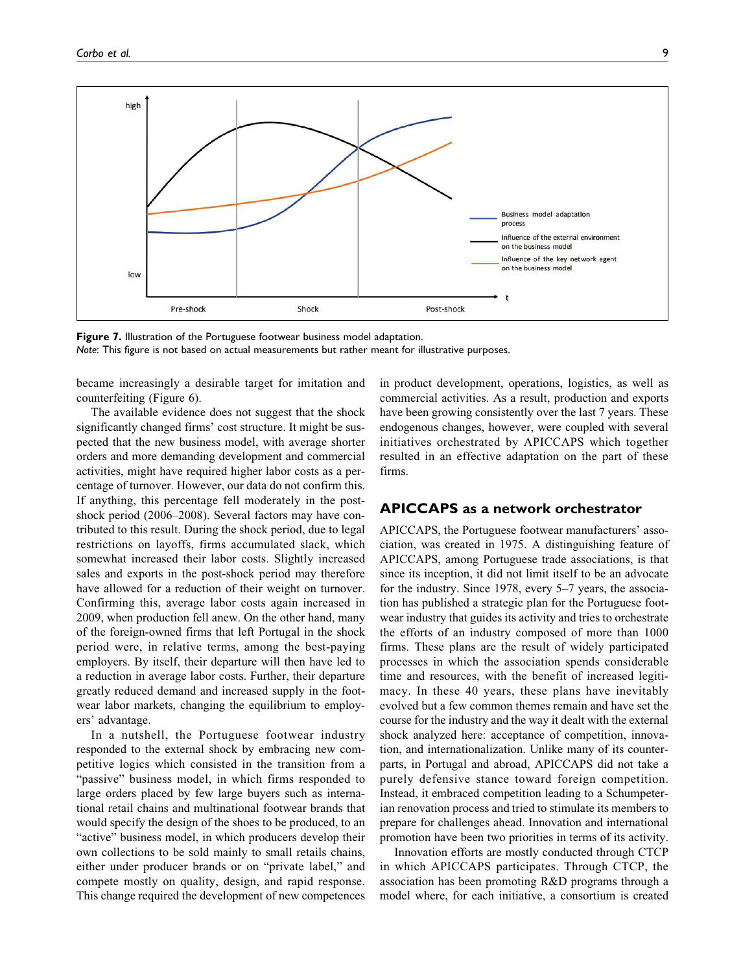

Figure 7. Illustration of the Portuguese footwear business model adaptation. Note: This figure is not based on actual measurements but rather meant for illustrative purposes.

became increasingly a desirable target for imitation and counterfeiting (Figure 6).

The available evidence does not suggest that the shock significantly changed firms' cost structure. It might be suspected that the new business model, with average shorter orders and more demanding development and commercial activities, might have required higher labor costs as a percentage of turnover. However, our data do not confirm this. If anything, this percentage fell moderately in the postshock period (2006–2008). Several factors may have contributed to this result. During the shock period, due to legal restrictions on layoffs, firms accumulated slack, which somewhat increased their labor costs. Slightly increased sales and exports in the post-shock period may therefore have allowed for a reduction of their weight on turnover. Confirming this, average labor costs again increased in 2009, when production fell anew. On the other hand, many of the foreign-owned firms that left Portugal in the shock period were, in relative terms, among the best-paying employers. By itself, their departure will then have led to a reduction in average labor costs. Further, their departure greatly reduced demand and increased supply in the footwear labor markets, changing the equilibrium to employers' advantage.

In a nutshell, the Portuguese footwear industry responded to the external shock by embracing new competitive logics which consisted in the transition from a "passive" business model, in which firms responded to large orders placed by few large buyers such as international retail chains and multinational footwear brands that would specify the design of the shoes to be produced, to an "active" business model, in which producers develop their own collections to be sold mainly to small retails chains, either under producer brands or on "private label," and compete mostly on quality, design, and rapid response. This change required the development of new competences

in product development, operations, logistics, as well as commercial activities. As a result, production and exports have been growing consistently over the last 7 years. These endogenous changes, however, were coupled with several initiatives orchestrated by APICCAPS which together resulted in an effective adaptation on the part of these firms.

### APICCAPS as a network orchestrator

APICCAPS, the Portuguese footwear manufacturers' association, was created in 1975. A distinguishing feature of APICCAPS, among Portuguese trade associations, is that since its inception, it did not limit itself to be an advocate for the industry. Since 1978, every 5–7 years, the association has published a strategic plan for the Portuguese footwear industry that guides its activity and tries to orchestrate the efforts of an industry composed of more than 1000 firms. These plans are the result of widely participated processes in which the association spends considerable time and resources, with the benefit of increased legitimacy. In these 40 years, these plans have inevitably evolved but a few common themes remain and have set the course for the industry and the way it dealt with the external shock analyzed here: acceptance of competition, innovation, and internationalization. Unlike many of its counterparts, in Portugal and abroad, APICCAPS did not take a purely defensive stance toward foreign competition. Instead, it embraced competition leading to a Schumpeterian renovation process and tried to stimulate its members to prepare for challenges ahead. Innovation and international promotion have been two priorities in terms of its activity.

Innovation efforts are mostly conducted through CTCP in which APICCAPS participates. Through CTCP, the association has been promoting R&D programs through a model where, for each initiative, a consortium is created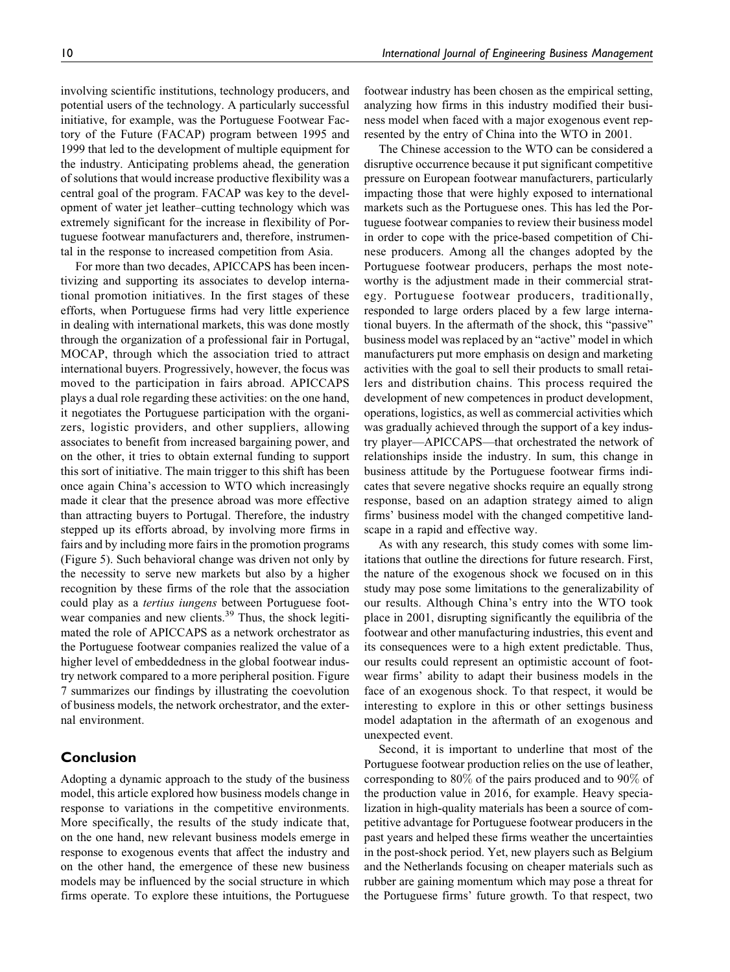involving scientific institutions, technology producers, and potential users of the technology. A particularly successful initiative, for example, was the Portuguese Footwear Factory of the Future (FACAP) program between 1995 and 1999 that led to the development of multiple equipment for the industry. Anticipating problems ahead, the generation of solutions that would increase productive flexibility was a central goal of the program. FACAP was key to the development of water jet leather–cutting technology which was extremely significant for the increase in flexibility of Portuguese footwear manufacturers and, therefore, instrumental in the response to increased competition from Asia.

For more than two decades, APICCAPS has been incentivizing and supporting its associates to develop international promotion initiatives. In the first stages of these efforts, when Portuguese firms had very little experience in dealing with international markets, this was done mostly through the organization of a professional fair in Portugal, MOCAP, through which the association tried to attract international buyers. Progressively, however, the focus was moved to the participation in fairs abroad. APICCAPS plays a dual role regarding these activities: on the one hand, it negotiates the Portuguese participation with the organizers, logistic providers, and other suppliers, allowing associates to benefit from increased bargaining power, and on the other, it tries to obtain external funding to support this sort of initiative. The main trigger to this shift has been once again China's accession to WTO which increasingly made it clear that the presence abroad was more effective than attracting buyers to Portugal. Therefore, the industry stepped up its efforts abroad, by involving more firms in fairs and by including more fairs in the promotion programs (Figure 5). Such behavioral change was driven not only by the necessity to serve new markets but also by a higher recognition by these firms of the role that the association could play as a tertius iungens between Portuguese footwear companies and new clients.<sup>39</sup> Thus, the shock legitimated the role of APICCAPS as a network orchestrator as the Portuguese footwear companies realized the value of a higher level of embeddedness in the global footwear industry network compared to a more peripheral position. Figure 7 summarizes our findings by illustrating the coevolution of business models, the network orchestrator, and the external environment.

## Conclusion

Adopting a dynamic approach to the study of the business model, this article explored how business models change in response to variations in the competitive environments. More specifically, the results of the study indicate that, on the one hand, new relevant business models emerge in response to exogenous events that affect the industry and on the other hand, the emergence of these new business models may be influenced by the social structure in which firms operate. To explore these intuitions, the Portuguese

footwear industry has been chosen as the empirical setting, analyzing how firms in this industry modified their business model when faced with a major exogenous event represented by the entry of China into the WTO in 2001.

The Chinese accession to the WTO can be considered a disruptive occurrence because it put significant competitive pressure on European footwear manufacturers, particularly impacting those that were highly exposed to international markets such as the Portuguese ones. This has led the Portuguese footwear companies to review their business model in order to cope with the price-based competition of Chinese producers. Among all the changes adopted by the Portuguese footwear producers, perhaps the most noteworthy is the adjustment made in their commercial strategy. Portuguese footwear producers, traditionally, responded to large orders placed by a few large international buyers. In the aftermath of the shock, this "passive" business model was replaced by an "active" model in which manufacturers put more emphasis on design and marketing activities with the goal to sell their products to small retailers and distribution chains. This process required the development of new competences in product development, operations, logistics, as well as commercial activities which was gradually achieved through the support of a key industry player—APICCAPS—that orchestrated the network of relationships inside the industry. In sum, this change in business attitude by the Portuguese footwear firms indicates that severe negative shocks require an equally strong response, based on an adaption strategy aimed to align firms' business model with the changed competitive landscape in a rapid and effective way.

As with any research, this study comes with some limitations that outline the directions for future research. First, the nature of the exogenous shock we focused on in this study may pose some limitations to the generalizability of our results. Although China's entry into the WTO took place in 2001, disrupting significantly the equilibria of the footwear and other manufacturing industries, this event and its consequences were to a high extent predictable. Thus, our results could represent an optimistic account of footwear firms' ability to adapt their business models in the face of an exogenous shock. To that respect, it would be interesting to explore in this or other settings business model adaptation in the aftermath of an exogenous and unexpected event.

Second, it is important to underline that most of the Portuguese footwear production relies on the use of leather, corresponding to 80% of the pairs produced and to 90% of the production value in 2016, for example. Heavy specialization in high-quality materials has been a source of competitive advantage for Portuguese footwear producers in the past years and helped these firms weather the uncertainties in the post-shock period. Yet, new players such as Belgium and the Netherlands focusing on cheaper materials such as rubber are gaining momentum which may pose a threat for the Portuguese firms' future growth. To that respect, two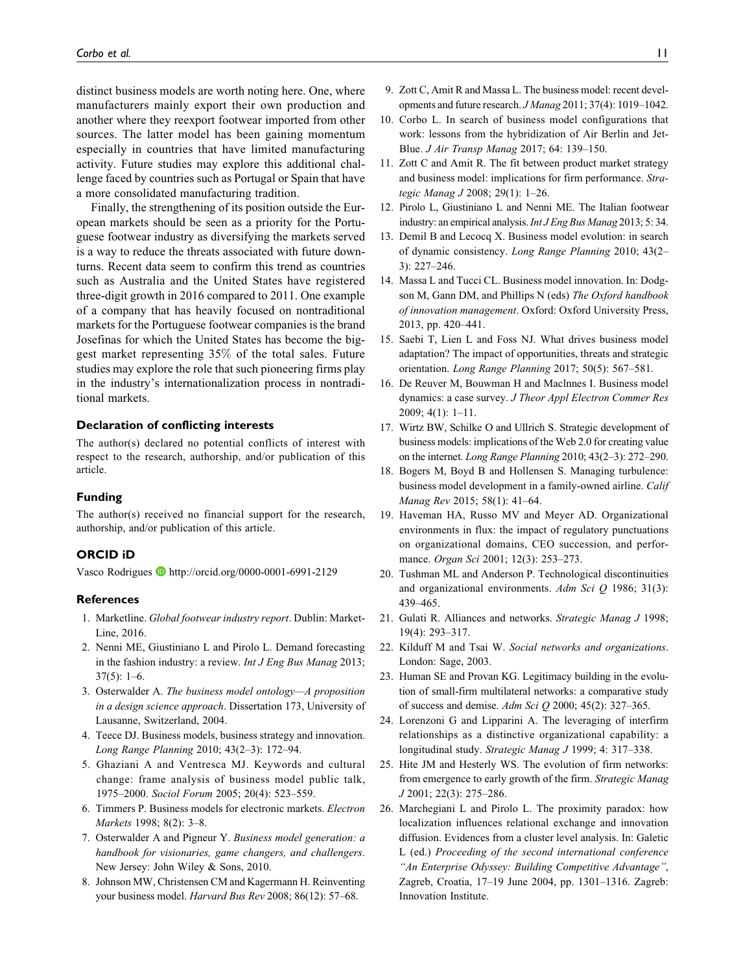distinct business models are worth noting here. One, where manufacturers mainly export their own production and another where they reexport footwear imported from other sources. The latter model has been gaining momentum especially in countries that have limited manufacturing activity. Future studies may explore this additional challenge faced by countries such as Portugal or Spain that have a more consolidated manufacturing tradition.

Finally, the strengthening of its position outside the European markets should be seen as a priority for the Portuguese footwear industry as diversifying the markets served is a way to reduce the threats associated with future downturns. Recent data seem to confirm this trend as countries such as Australia and the United States have registered three-digit growth in 2016 compared to 2011. One example of a company that has heavily focused on nontraditional markets for the Portuguese footwear companies is the brand Josefinas for which the United States has become the biggest market representing 35% of the total sales. Future studies may explore the role that such pioneering firms play in the industry's internationalization process in nontraditional markets.

### Declaration of conflicting interests

The author(s) declared no potential conflicts of interest with respect to the research, authorship, and/or publication of this article.

#### Funding

The author(s) received no financial support for the research, authorship, and/or publication of this article.

### ORCID iD

Vasco Rodrigues D<http://orcid.org/0000-0001-6991-2129>

#### **References**

- 1. Marketline. Global footwear industry report. Dublin: Market-Line, 2016.
- 2. Nenni ME, Giustiniano L and Pirolo L. Demand forecasting in the fashion industry: a review. Int J Eng Bus Manag 2013;  $37(5): 1-6.$
- 3. Osterwalder A. The business model ontology—A proposition in a design science approach. Dissertation 173, University of Lausanne, Switzerland, 2004.
- 4. Teece DJ. Business models, business strategy and innovation. Long Range Planning 2010; 43(2–3): 172–94.
- 5. Ghaziani A and Ventresca MJ. Keywords and cultural change: frame analysis of business model public talk, 1975–2000. Sociol Forum 2005; 20(4): 523–559.
- 6. Timmers P. Business models for electronic markets. Electron Markets 1998; 8(2): 3–8.
- 7. Osterwalder A and Pigneur Y. Business model generation: a handbook for visionaries, game changers, and challengers. New Jersey: John Wiley & Sons, 2010.
- 8. Johnson MW, Christensen CM and Kagermann H. Reinventing your business model. Harvard Bus Rev 2008; 86(12): 57–68.
- 9. Zott C, Amit R and Massa L. The business model: recent developments and future research. J Manag 2011; 37(4): 1019–1042.
- 10. Corbo L. In search of business model configurations that work: lessons from the hybridization of Air Berlin and Jet-Blue. J Air Transp Manag 2017; 64: 139–150.
- 11. Zott C and Amit R. The fit between product market strategy and business model: implications for firm performance. Strategic Manag J 2008; 29(1): 1–26.
- 12. Pirolo L, Giustiniano L and Nenni ME. The Italian footwear industry: an empirical analysis. *Int J Eng Bus Manag* 2013; 5: 34.
- 13. Demil B and Lecocq X. Business model evolution: in search of dynamic consistency. Long Range Planning 2010; 43(2– 3): 227–246.
- 14. Massa L and Tucci CL. Business model innovation. In: Dodgson M, Gann DM, and Phillips N (eds) The Oxford handbook of innovation management. Oxford: Oxford University Press, 2013, pp. 420–441.
- 15. Saebi T, Lien L and Foss NJ. What drives business model adaptation? The impact of opportunities, threats and strategic orientation. Long Range Planning 2017; 50(5): 567–581.
- 16. De Reuver M, Bouwman H and Maclnnes I. Business model dynamics: a case survey. J Theor Appl Electron Commer Res 2009; 4(1): 1–11.
- 17. Wirtz BW, Schilke O and Ullrich S. Strategic development of business models: implications of the Web 2.0 for creating value on the internet. Long Range Planning 2010; 43(2–3): 272–290.
- 18. Bogers M, Boyd B and Hollensen S. Managing turbulence: business model development in a family-owned airline. Calif Manag Rev 2015; 58(1): 41–64.
- 19. Haveman HA, Russo MV and Meyer AD. Organizational environments in flux: the impact of regulatory punctuations on organizational domains, CEO succession, and performance. Organ Sci 2001; 12(3): 253-273.
- 20. Tushman ML and Anderson P. Technological discontinuities and organizational environments. Adm Sci Q 1986; 31(3): 439–465.
- 21. Gulati R. Alliances and networks. Strategic Manag J 1998; 19(4): 293–317.
- 22. Kilduff M and Tsai W. Social networks and organizations. London: Sage, 2003.
- 23. Human SE and Provan KG. Legitimacy building in the evolution of small-firm multilateral networks: a comparative study of success and demise. Adm Sci Q 2000; 45(2): 327–365.
- 24. Lorenzoni G and Lipparini A. The leveraging of interfirm relationships as a distinctive organizational capability: a longitudinal study. Strategic Manag J 1999; 4: 317–338.
- 25. Hite JM and Hesterly WS. The evolution of firm networks: from emergence to early growth of the firm. Strategic Manag J 2001; 22(3): 275–286.
- 26. Marchegiani L and Pirolo L. The proximity paradox: how localization influences relational exchange and innovation diffusion. Evidences from a cluster level analysis. In: Galetic L (ed.) Proceeding of the second international conference "An Enterprise Odyssey: Building Competitive Advantage", Zagreb, Croatia, 17–19 June 2004, pp. 1301–1316. Zagreb: Innovation Institute.